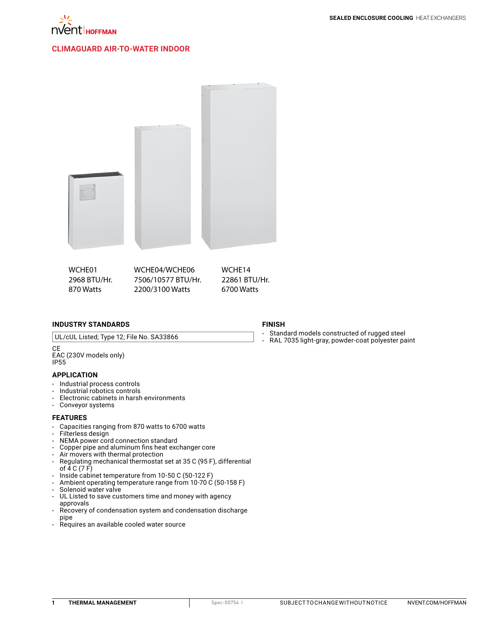

### **CLIMAGUARD [Air-to-Water Indoor](http://hoffman.nvent.com/en/hoffman/CLIMAGUARD-Air-to-Water-Indoor)**



2968 BTU/Hr. 870 Watts 7506/10577 BTU/Hr. 2200/3100 Watts 22861 BTU/Hr. 6700 Watts

#### **INDUSTRY STANDARDS**

UL/cUL Listed; Type 12; File No. SA33866

CE EAC (230V models only) IP55

#### **APPLICATION**

- • Industrial process controls
- Industrial robotics controls<br>• Electronic cabinets in harsh
- Electronic cabinets in harsh environments
- • Conveyor systems

#### **FEATURES**

- Capacities ranging from 870 watts to 6700 watts<br>• Filterless design
- Filterless design
- NEMA power cord connection standard<br>• Copper pipe and aluminum fins heat exc
- Copper pipe and aluminum fins heat exchanger core
- • Air movers with thermal protection
- Regulating mechanical thermostat set at 35 C (95 F), differential of 4 C (7 F)
- $\cdot$  Inside cabinet temperature from 10-50 C (50-122 F)
- Ambient operating temperature range from 10-70  $\acute{C}$  (50-158 F)
- Solenoid water valve
- UL Listed to save customers time and money with agency approvals
- Recovery of condensation system and condensation discharge pipe
- • Requires an available cooled water source

#### **FINISH**

- Standard models constructed of rugged steel<br>• RAL 7035 light-gray nowder-coat polyester pa
- RAL 7035 light-gray, powder-coat polyester paint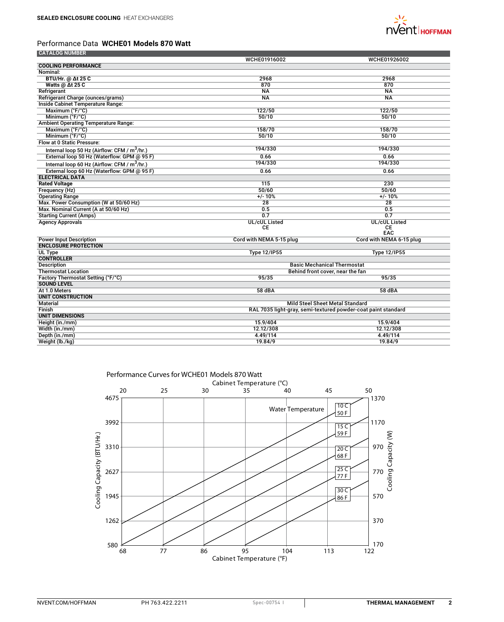

# Performance Data **WCHE01 Models 870 Watt**

| <b>CATALOG NUMBER</b>                                    |                                                               |                                    |  |
|----------------------------------------------------------|---------------------------------------------------------------|------------------------------------|--|
|                                                          | WCHE01916002                                                  | WCHE01926002                       |  |
| <b>COOLING PERFORMANCE</b>                               |                                                               |                                    |  |
| Nominal:                                                 |                                                               |                                    |  |
| <b>BTU/Hr. @ Δt 25 C</b>                                 | 2968                                                          | 2968                               |  |
| Watts @ At 25 C                                          | 870                                                           | 870                                |  |
| Refrigerant                                              | $N_A$                                                         | <b>NA</b>                          |  |
| Refrigerant Charge (ounces/grams)                        | <b>NA</b>                                                     | <b>NA</b>                          |  |
| <b>Inside Cabinet Temperature Range:</b>                 |                                                               |                                    |  |
| Maximum (°F/°C)                                          | 122/50                                                        | 122/50                             |  |
| Minimum (°F/°C)                                          | 50/10                                                         | 50/10                              |  |
| <b>Ambient Operating Temperature Range:</b>              |                                                               |                                    |  |
| Maximum (°F/°C)                                          | 158/70                                                        | 158/70                             |  |
| Minimum (°F/°C)                                          | 50/10                                                         | 50/10                              |  |
| Flow at 0 Static Pressure:                               |                                                               |                                    |  |
| Internal loop 50 Hz (Airflow: CFM / m <sup>3</sup> /hr.) | 194/330                                                       | 194/330                            |  |
| External loop 50 Hz (Waterflow: GPM @ 95 F)              | 0.66                                                          | 0.66                               |  |
| Internal loop 60 Hz (Airflow: CFM / $m^3/hr$ .)          | 194/330                                                       | 194/330                            |  |
| External loop 60 Hz (Waterflow: GPM @ 95 F)              | 0.66                                                          | 0.66                               |  |
| <b>ELECTRICAL DATA</b>                                   |                                                               |                                    |  |
| <b>Rated Voltage</b>                                     | 115                                                           | $\overline{230}$                   |  |
| Frequency (Hz)                                           | 50/60                                                         | 50/60                              |  |
| <b>Operating Range</b>                                   | $+/- 10%$                                                     | $+/- 10%$                          |  |
| Max. Power Consumption (W at 50/60 Hz)                   | 28                                                            | 28                                 |  |
| Max. Nominal Current (A at 50/60 Hz)                     | 0.5                                                           | 0.5                                |  |
| <b>Starting Current (Amps)</b>                           | 0.7                                                           | 0.7                                |  |
| <b>Agency Approvals</b>                                  | <b>UL/cUL Listed</b>                                          | <b>UL/cUL Listed</b>               |  |
|                                                          | CЕ                                                            | <b>CE</b>                          |  |
|                                                          |                                                               | EAC                                |  |
| <b>Power Input Description</b>                           | Cord with NEMA 5-15 plug                                      | Cord with NEMA 6-15 plug           |  |
| <b>ENCLOSURE PROTECTION</b>                              |                                                               |                                    |  |
| UL Type                                                  | <b>Type 12/IP55</b>                                           | <b>Type 12/IP55</b>                |  |
| <b>CONTROLLER</b>                                        |                                                               |                                    |  |
| <b>Description</b>                                       |                                                               | <b>Basic Mechanical Thermostat</b> |  |
| <b>Thermostat Location</b>                               | Behind front cover, near the fan                              |                                    |  |
| Factory Thermostat Setting (°F/°C)                       | 95/35                                                         | 95/35                              |  |
| <b>SOUND LEVEL</b>                                       |                                                               |                                    |  |
| At 1.0 Meters                                            | 58 dBA                                                        | 58 dBA                             |  |
| UNIT CONSTRUCTION                                        |                                                               |                                    |  |
| <b>Material</b>                                          | <b>Mild Steel Sheet Metal Standard</b>                        |                                    |  |
| Finish                                                   | RAL 7035 light-gray, semi-textured powder-coat paint standard |                                    |  |
| <b>UNIT DIMENSIONS</b>                                   |                                                               |                                    |  |
| Height (in./mm)                                          | 15.9/404                                                      | 15.9/404                           |  |
| Width (in./mm)                                           | 12.12/308                                                     | 12.12/308                          |  |
| Depth (in./mm)                                           | 4.49/114                                                      | 4.49/114                           |  |
| Weight (lb./kg)                                          | 19.84/9                                                       | 19.84/9                            |  |

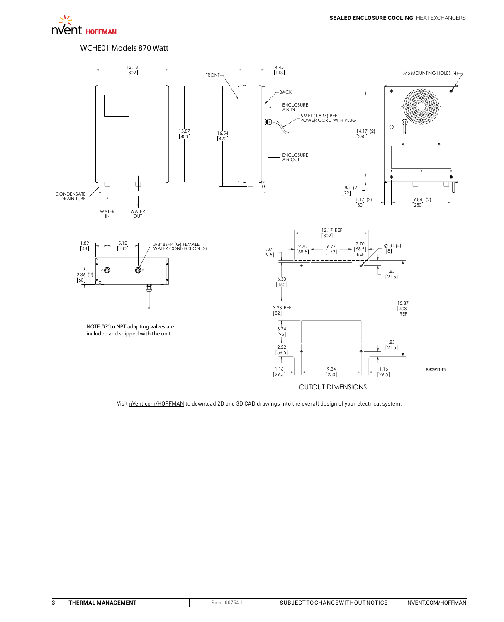

### WCHE01 Models 870 Watt

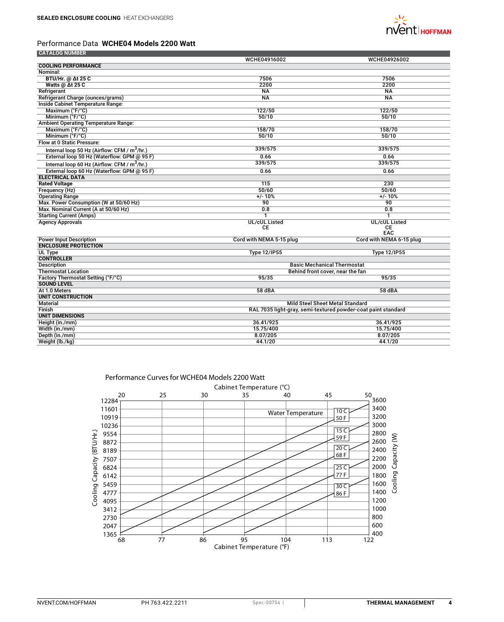

## Performance Data **WCHE04 Models 2200 Watt**

| <b>CATALOG NUMBER</b>                                    |                                                               |                                    |  |
|----------------------------------------------------------|---------------------------------------------------------------|------------------------------------|--|
|                                                          | WCHE04916002                                                  | WCHE04926002                       |  |
| <b>COOLING PERFORMANCE</b>                               |                                                               |                                    |  |
| Nominal:                                                 |                                                               |                                    |  |
| <b>BTU/Hr. @ Δt 25 C</b>                                 | 7506                                                          | 7506                               |  |
| Watts @ At 25 C                                          | 2200                                                          | 2200                               |  |
| Refrigerant                                              | $N_A$                                                         | <b>NA</b>                          |  |
| Refrigerant Charge (ounces/grams)                        | $\overline{NA}$                                               | $\overline{NA}$                    |  |
| Inside Cabinet Temperature Range:                        |                                                               |                                    |  |
| Maximum (°F/°C)                                          | 122/50                                                        | 122/50                             |  |
| Minimum (°F/°C)                                          | 50/10                                                         | 50/10                              |  |
| <b>Ambient Operating Temperature Range:</b>              |                                                               |                                    |  |
| Maximum (°F/°C)                                          | 158/70                                                        | 158/70                             |  |
| Minimum (°F/°C)                                          | 50/10                                                         | 50/10                              |  |
| Flow at 0 Static Pressure:                               |                                                               |                                    |  |
| Internal loop 50 Hz (Airflow: CFM / m <sup>3</sup> /hr.) | 339/575                                                       | 339/575                            |  |
| External loop 50 Hz (Waterflow: GPM @ 95 F)              | 0.66                                                          | 0.66                               |  |
| Internal loop 60 Hz (Airflow: CFM / $m^3/hr$ .)          | 339/575                                                       | 339/575                            |  |
| External loop 60 Hz (Waterflow: GPM @ 95 F)              | 0.66                                                          | 0.66                               |  |
| <b>ELECTRICAL DATA</b>                                   |                                                               |                                    |  |
| <b>Rated Voltage</b>                                     | 115                                                           | 230                                |  |
| Frequency (Hz)                                           | 50/60                                                         | 50/60                              |  |
| <b>Operating Range</b>                                   | $+/- 10%$                                                     | $+/- 10%$                          |  |
| Max. Power Consumption (W at 50/60 Hz)                   | 90                                                            | 90                                 |  |
| Max. Nominal Current (A at 50/60 Hz)                     | 0.8                                                           | 0.8                                |  |
| <b>Starting Current (Amps)</b>                           | 1                                                             | 1                                  |  |
| <b>Agency Approvals</b>                                  | <b>UL/cUL Listed</b>                                          | <b>UL/cUL Listed</b>               |  |
|                                                          | СE                                                            | CE                                 |  |
|                                                          |                                                               | EAC                                |  |
| <b>Power Input Description</b>                           | Cord with NEMA 5-15 plug                                      | Cord with NEMA 6-15 plug           |  |
| <b>ENCLOSURE PROTECTION</b>                              |                                                               |                                    |  |
| UL Type                                                  | <b>Type 12/IP55</b>                                           | <b>Type 12/IP55</b>                |  |
| <b>CONTROLLER</b>                                        |                                                               |                                    |  |
| <b>Description</b>                                       |                                                               | <b>Basic Mechanical Thermostat</b> |  |
| <b>Thermostat Location</b>                               | Behind front cover, near the fan                              |                                    |  |
| Factory Thermostat Setting (°F/°C)                       | 95/35                                                         | 95/35                              |  |
| <b>SOUND LEVEL</b>                                       |                                                               |                                    |  |
| At 1.0 Meters                                            | 58 dBA                                                        | 58 dBA                             |  |
| <b>UNIT CONSTRUCTION</b>                                 |                                                               |                                    |  |
| <b>Material</b>                                          | <b>Mild Steel Sheet Metal Standard</b>                        |                                    |  |
| Finish                                                   | RAL 7035 light-gray, semi-textured powder-coat paint standard |                                    |  |
| <b>UNIT DIMENSIONS</b>                                   |                                                               |                                    |  |
| Height (in./mm)                                          | 36.41/925                                                     | 36.41/925                          |  |
| Width (in./mm)                                           | 15.75/400                                                     | 15.75/400                          |  |
| Depth (in./mm)                                           | 8.07/205                                                      | 8.07/205                           |  |
| Weight (lb./kg)                                          | 44.1/20                                                       | 44.1/20                            |  |



Performance Curves for WCHE04 Models 2200 Watt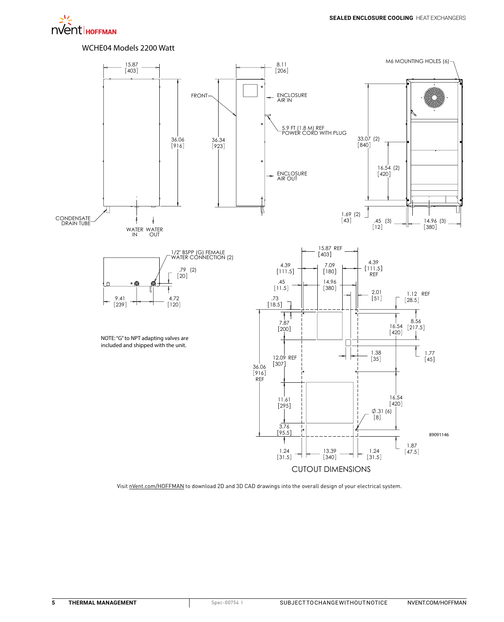

### WCHE04 Models 2200 Watt



CUTOUT DIMENSIONS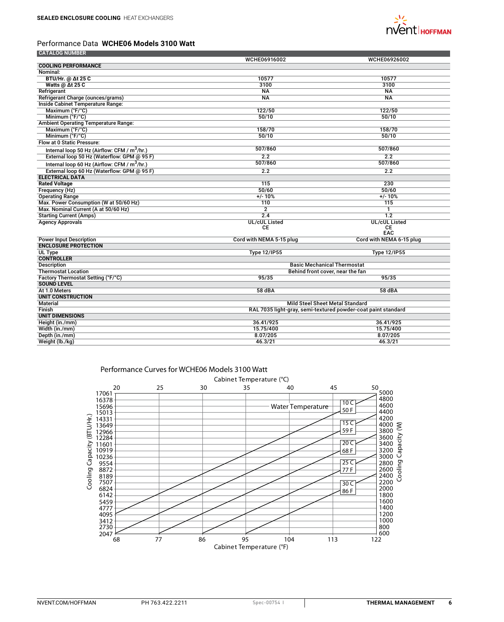

## Performance Data **WCHE06 Models 3100 Watt**

| <b>CATALOG NUMBER</b>                                    |                                                               |                                    |  |
|----------------------------------------------------------|---------------------------------------------------------------|------------------------------------|--|
|                                                          | WCHE06916002                                                  | WCHE06926002                       |  |
| <b>COOLING PERFORMANCE</b>                               |                                                               |                                    |  |
| Nominal:                                                 |                                                               |                                    |  |
| <b>BTU/Hr. @ Δt 25 C</b>                                 | 10577                                                         | 10577                              |  |
| Watts @ At 25 C                                          | 3100                                                          | 3100                               |  |
| Refrigerant                                              | <b>NA</b>                                                     | <b>NA</b>                          |  |
| Refrigerant Charge (ounces/grams)                        | $\overline{NA}$                                               | $\overline{NA}$                    |  |
| Inside Cabinet Temperature Range:                        |                                                               |                                    |  |
| Maximum (°F/°C)                                          | 122/50                                                        | 122/50                             |  |
| Minimum (°F/°C)                                          | 50/10                                                         | 50/10                              |  |
| <b>Ambient Operating Temperature Range:</b>              |                                                               |                                    |  |
| Maximum (°F/°C)                                          | 158/70                                                        | 158/70                             |  |
| Minimum (°F/°C)                                          | 50/10                                                         | 50/10                              |  |
| Flow at 0 Static Pressure:                               |                                                               |                                    |  |
| Internal loop 50 Hz (Airflow: CFM / m <sup>3</sup> /hr.) | 507/860                                                       | 507/860                            |  |
| External loop 50 Hz (Waterflow: GPM @ 95 F)              | 2.2                                                           | 2.2                                |  |
| Internal loop 60 Hz (Airflow: CFM / $m^3/hr$ .)          | 507/860                                                       | 507/860                            |  |
| External loop 60 Hz (Waterflow: GPM @ 95 F)              | 2.2                                                           | $\overline{2.2}$                   |  |
| <b>ELECTRICAL DATA</b>                                   |                                                               |                                    |  |
| <b>Rated Voltage</b>                                     | 115                                                           | 230                                |  |
| Frequency (Hz)                                           | 50/60                                                         | 50/60                              |  |
| <b>Operating Range</b>                                   | $+/- 10%$                                                     | $+/- 10%$                          |  |
| Max. Power Consumption (W at 50/60 Hz)                   | 110                                                           | 115                                |  |
| Max. Nominal Current (A at 50/60 Hz)                     | $\overline{2}$                                                | 1                                  |  |
| <b>Starting Current (Amps)</b>                           | 2.4                                                           | $\overline{1.2}$                   |  |
| <b>Agency Approvals</b>                                  | <b>UL/cUL Listed</b>                                          | <b>UL/cUL Listed</b>               |  |
|                                                          | СE                                                            | CE                                 |  |
|                                                          |                                                               | EAC                                |  |
| <b>Power Input Description</b>                           | Cord with NEMA 5-15 plug                                      | Cord with NEMA 6-15 plug           |  |
| <b>ENCLOSURE PROTECTION</b>                              |                                                               |                                    |  |
| UL Type                                                  | <b>Type 12/IP55</b>                                           | <b>Type 12/IP55</b>                |  |
| <b>CONTROLLER</b>                                        |                                                               |                                    |  |
| <b>Description</b>                                       |                                                               | <b>Basic Mechanical Thermostat</b> |  |
| <b>Thermostat Location</b>                               | Behind front cover, near the fan                              |                                    |  |
| Factory Thermostat Setting (°F/°C)                       | 95/35                                                         | 95/35                              |  |
| <b>SOUND LEVEL</b>                                       |                                                               |                                    |  |
| At 1.0 Meters                                            | 58 dBA                                                        | 58 dBA                             |  |
| UNIT CONSTRUCTION                                        |                                                               |                                    |  |
| <b>Material</b>                                          | <b>Mild Steel Sheet Metal Standard</b>                        |                                    |  |
| Finish                                                   | RAL 7035 light-gray, semi-textured powder-coat paint standard |                                    |  |
| <b>UNIT DIMENSIONS</b>                                   |                                                               |                                    |  |
| Height (in./mm)                                          | 36.41/925                                                     | 36.41/925                          |  |
| Width (in./mm)                                           | 15.75/400                                                     | 15.75/400                          |  |
| Depth (in./mm)                                           | 8.07/205                                                      | 8.07/205                           |  |
| Weight (lb./kg)                                          | 46.3/21                                                       | 46.3/21                            |  |



### Performance Curves for WCHE06 Models 3100 Watt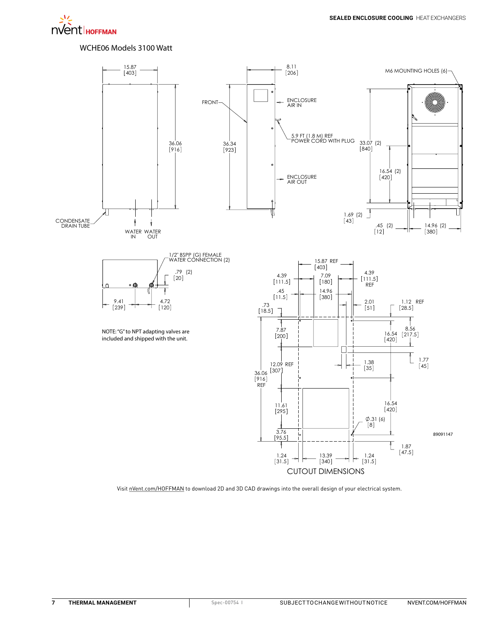## WCHE06 Models 3100 Watt

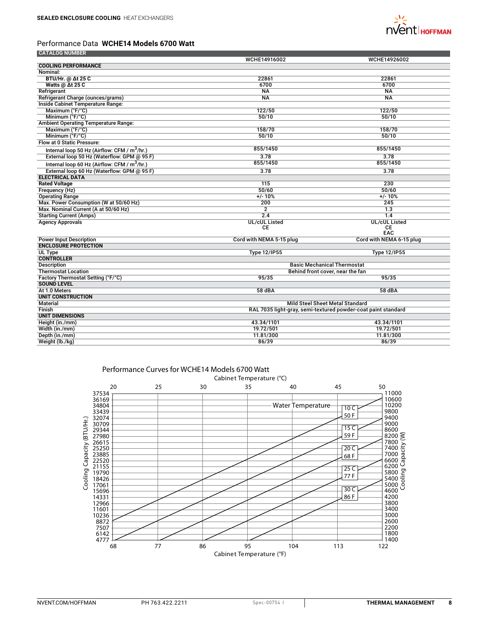![](_page_7_Picture_1.jpeg)

# Performance Data **WCHE14 Models 6700 Watt**

| <b>CATALOG NUMBER</b>                                    |                                                               |                                    |  |
|----------------------------------------------------------|---------------------------------------------------------------|------------------------------------|--|
|                                                          | WCHE14916002                                                  | WCHE14926002                       |  |
| <b>COOLING PERFORMANCE</b>                               |                                                               |                                    |  |
| Nominal:                                                 |                                                               |                                    |  |
| <b>BTU/Hr. @ Δt 25 C</b>                                 | 22861                                                         | 22861                              |  |
| Watts @ At 25 C                                          | 6700                                                          | 6700                               |  |
| Refrigerant                                              | <b>NA</b>                                                     | <b>NA</b>                          |  |
| Refrigerant Charge (ounces/grams)                        | $\overline{NA}$                                               | $\overline{NA}$                    |  |
| Inside Cabinet Temperature Range:                        |                                                               |                                    |  |
| Maximum (°F/°C)                                          | 122/50                                                        | 122/50                             |  |
| Minimum (°F/°C)                                          | 50/10                                                         | 50/10                              |  |
| <b>Ambient Operating Temperature Range:</b>              |                                                               |                                    |  |
| Maximum (°F/°C)                                          | 158/70                                                        | 158/70                             |  |
| Minimum (°F/°C)                                          | 50/10                                                         | 50/10                              |  |
| Flow at 0 Static Pressure:                               |                                                               |                                    |  |
| Internal loop 50 Hz (Airflow: CFM / m <sup>3</sup> /hr.) | 855/1450                                                      | 855/1450                           |  |
| External loop 50 Hz (Waterflow: GPM @ 95 F)              | 3.78                                                          | 3.78                               |  |
| Internal loop 60 Hz (Airflow: CFM / m <sup>3</sup> /hr.) | 855/1450                                                      | 855/1450                           |  |
| External loop 60 Hz (Waterflow: GPM @ 95 F)              | 3.78                                                          | 3.78                               |  |
| <b>ELECTRICAL DATA</b>                                   |                                                               |                                    |  |
| <b>Rated Voltage</b>                                     | 115                                                           | 230                                |  |
| Frequency (Hz)                                           | 50/60                                                         | 50/60                              |  |
| <b>Operating Range</b>                                   | $+/- 10%$                                                     | $+/- 10%$                          |  |
| Max. Power Consumption (W at 50/60 Hz)                   | 200                                                           | 245                                |  |
| Max. Nominal Current (A at 50/60 Hz)                     | $\overline{2}$                                                | 1.3                                |  |
| <b>Starting Current (Amps)</b>                           | 2.4                                                           | 1.4                                |  |
| <b>Agency Approvals</b>                                  | <b>UL/cUL Listed</b>                                          | <b>UL/cUL Listed</b>               |  |
|                                                          | CE                                                            | CE                                 |  |
|                                                          |                                                               | EAC                                |  |
| <b>Power Input Description</b>                           | Cord with NEMA 5-15 plug                                      | Cord with NEMA 6-15 plug           |  |
| <b>ENCLOSURE PROTECTION</b>                              |                                                               |                                    |  |
| UL Type                                                  | <b>Type 12/IP55</b>                                           | <b>Type 12/IP55</b>                |  |
| <b>CONTROLLER</b>                                        |                                                               |                                    |  |
| <b>Description</b>                                       |                                                               | <b>Basic Mechanical Thermostat</b> |  |
| <b>Thermostat Location</b>                               | Behind front cover, near the fan                              |                                    |  |
| Factory Thermostat Setting (°F/°C)                       | 95/35                                                         | 95/35                              |  |
| <b>SOUND LEVEL</b>                                       |                                                               |                                    |  |
| At 1.0 Meters                                            | 58 dBA                                                        | 58 dBA                             |  |
| <b>UNIT CONSTRUCTION</b>                                 |                                                               |                                    |  |
| <b>Material</b>                                          | <b>Mild Steel Sheet Metal Standard</b>                        |                                    |  |
| Finish                                                   | RAL 7035 light-gray, semi-textured powder-coat paint standard |                                    |  |
| <b>UNIT DIMENSIONS</b>                                   |                                                               |                                    |  |
| Height (in./mm)                                          | 43.34/1101                                                    | 43.34/1101                         |  |
| Width (in./mm)                                           | 19.72/501                                                     | 19.72/501                          |  |
| Depth (in./mm)                                           | 11.81/300                                                     | 11.81/300                          |  |
| Weight (lb./kg)                                          | 86/39                                                         | 86/39                              |  |

![](_page_7_Figure_4.jpeg)

## Performance Curves for WCHE14 Models 6700 Watt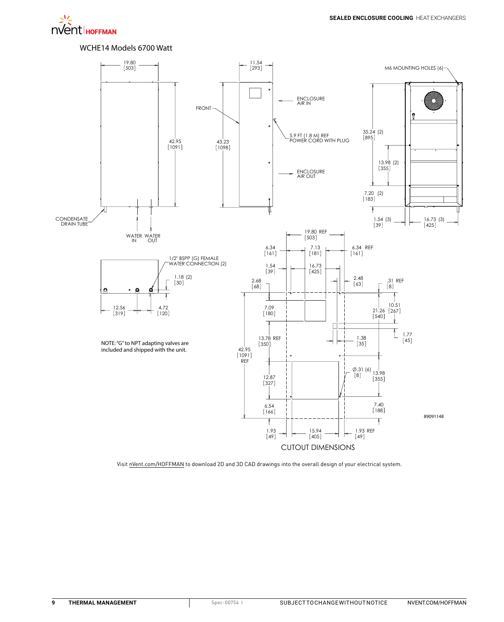いく nvent HOFFMAN

WCHE14 Models 6700 Watt

![](_page_8_Figure_3.jpeg)